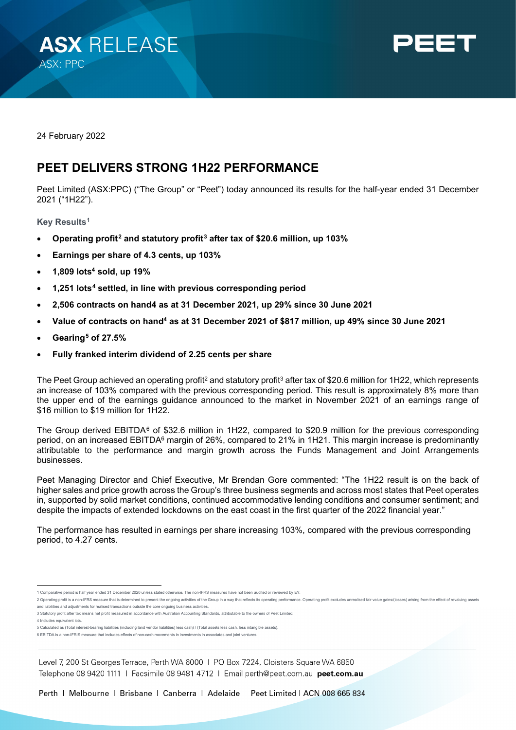



24 February 2022

# **PEET DELIVERS STRONG 1H22 PERFORMANCE**

Peet Limited (ASX:PPC) ("The Group" or "Peet") today announced its results for the half-year ended 31 December 2021 ("1H22").

**Key Results[1](#page-0-3)**

- <span id="page-0-2"></span><span id="page-0-1"></span>• **Operating profit[2](#page-0-4) and statutory profit[3](#page-0-5) after tax of \$20.6 million, up 103%**
- **Earnings per share of 4.3 cents, up 103%**
- **1,809 lots4 sold, up 19%**
- <span id="page-0-0"></span>• **1,251 lots[4](#page-0-6) settled, in line with previous corresponding period**
- **2,506 contracts on han[d4](#page-0-0) as at 31 December 2021, up 29% since 30 June 2021**
- Value of contracts on hand<sup>4</sup> as at 31 December 2021 of \$817 million, up 49% since 30 June 2021
- **Gearing[5](#page-0-7) of 27.5%**
- **Fully franked interim dividend of 2.25 cents per share**

The Peet Group achieved an operating profit<sup>2</sup> and statutory profit<sup>3</sup> after tax of \$20.6 million for 1H22, which represents an increase of 103% compared with the previous corresponding period. This result is approximately 8% more than the upper end of the earnings guidance announced to the market in November 2021 of an earnings range of \$16 million to \$19 million for 1H22.

The Group derived EBITDA<sup>[6](#page-0-8)</sup> of \$32.6 million in 1H22, compared to \$20.9 million for the previous corresponding period, on an increased EBITDA<sup>6</sup> margin of 26%, compared to 21% in 1H21. This margin increase is predominantly attributable to the performance and margin growth across the Funds Management and Joint Arrangements businesses.

Peet Managing Director and Chief Executive, Mr Brendan Gore commented: "The 1H22 result is on the back of higher sales and price growth across the Group's three business segments and across most states that Peet operates in, supported by solid market conditions, continued accommodative lending conditions and consumer sentiment; and despite the impacts of extended lockdowns on the east coast in the first quarter of the 2022 financial year."

The performance has resulted in earnings per share increasing 103%, compared with the previous corresponding period, to 4.27 cents.

<span id="page-0-6"></span>4 Includes equivalent lots.

Level 7, 200 St Georges Terrace, Perth WA 6000 | PO Box 7224, Cloisters Square WA 6850 Telephone 08 9420 1111 | Facsimile 08 9481 4712 | Email perth@peet.com.au peet.com.au

<sup>1</sup> Comparative period is half year ended 31 December 2020 unless stated otherwise. The non-IFRS measures have not been audited or reviewed by EY.

<span id="page-0-4"></span><span id="page-0-3"></span><sup>2</sup> Operating profit is a non-IFRS measure that is determined to present the ongoing activities of the Group in a way that reflects its operating performance. Operating profit excludes unrealised fair value gains/(losses) ar and liabilities and adjustments for realised transactions outside the core ongoing business activities.

<span id="page-0-5"></span><sup>3</sup> Statutory profit after tax means net profit measured in accordance with Australian Accounting Standards, attributable to the owners of Peet Limited.

<span id="page-0-7"></span><sup>5</sup> Calculated as (Total interest-bearing liabilities (including land vendor liabilities) less cash) / (Total assets less cash, less intangible assets).

<span id="page-0-8"></span><sup>6</sup> EBITDA is a non-IFRIS measure that includes effects of non-cash movements in investments in associates and joint ventures.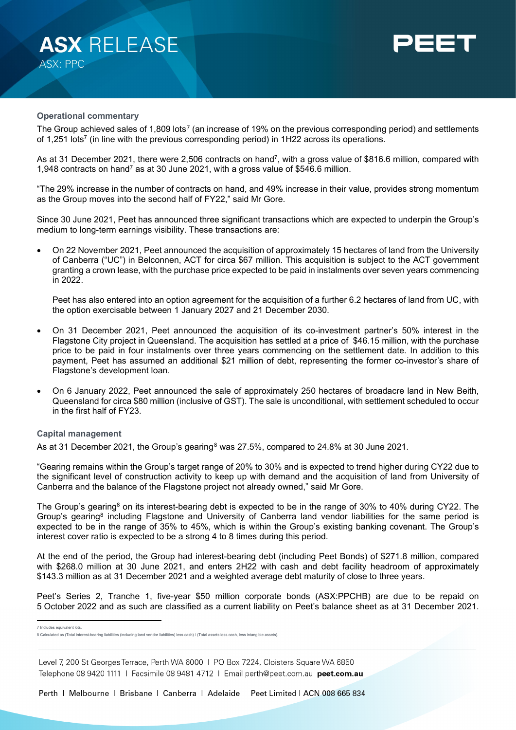



## **Operational commentary**

The Group achieved sales of 1,809 lots<sup>[7](#page-1-0)</sup> (an increase of 19% on the previous corresponding period) and settlements of 1,251 lots<sup>7</sup> (in line with the previous corresponding period) in 1H22 across its operations.

As at 31 December 2021, there were 2,506 contracts on hand7, with a gross value of \$816.6 million, compared with 1,948 contracts on hand7 as at 30 June 2021, with a gross value of \$546.6 million.

"The 29% increase in the number of contracts on hand, and 49% increase in their value, provides strong momentum as the Group moves into the second half of FY22," said Mr Gore.

Since 30 June 2021, Peet has announced three significant transactions which are expected to underpin the Group's medium to long-term earnings visibility. These transactions are:

• On 22 November 2021, Peet announced the acquisition of approximately 15 hectares of land from the University of Canberra ("UC") in Belconnen, ACT for circa \$67 million. This acquisition is subject to the ACT government granting a crown lease, with the purchase price expected to be paid in instalments over seven years commencing in 2022.

Peet has also entered into an option agreement for the acquisition of a further 6.2 hectares of land from UC, with the option exercisable between 1 January 2027 and 21 December 2030.

- On 31 December 2021, Peet announced the acquisition of its co-investment partner's 50% interest in the Flagstone City project in Queensland. The acquisition has settled at a price of \$46.15 million, with the purchase price to be paid in four instalments over three years commencing on the settlement date. In addition to this payment, Peet has assumed an additional \$21 million of debt, representing the former co-investor's share of Flagstone's development loan.
- On 6 January 2022, Peet announced the sale of approximately 250 hectares of broadacre land in New Beith, Queensland for circa \$80 million (inclusive of GST). The sale is unconditional, with settlement scheduled to occur in the first half of FY23.

# **Capital management**

As at 31 December 2021, the Group's gearing<sup>[8](#page-1-1)</sup> was 27.5%, compared to 24.8% at 30 June 2021.

"Gearing remains within the Group's target range of 20% to 30% and is expected to trend higher during CY22 due to the significant level of construction activity to keep up with demand and the acquisition of land from University of Canberra and the balance of the Flagstone project not already owned," said Mr Gore.

The Group's gearing<sup>8</sup> on its interest-bearing debt is expected to be in the range of 30% to 40% during CY22. The Group's gearing<sup>8</sup> including Flagstone and University of Canberra land vendor liabilities for the same period is expected to be in the range of 35% to 45%, which is within the Group's existing banking covenant. The Group's interest cover ratio is expected to be a strong 4 to 8 times during this period.

At the end of the period, the Group had interest-bearing debt (including Peet Bonds) of \$271.8 million, compared with \$268.0 million at 30 June 2021, and enters 2H22 with cash and debt facility headroom of approximately \$143.3 million as at 31 December 2021 and a weighted average debt maturity of close to three years.

Peet's Series 2, Tranche 1, five-year \$50 million corporate bonds (ASX:PPCHB) are due to be repaid on 5 October 2022 and as such are classified as a current liability on Peet's balance sheet as at 31 December 2021.

Level 7, 200 St Georges Terrace, Perth WA 6000 | PO Box 7224, Cloisters Square WA 6850 Telephone 08 9420 1111 | Facsimile 08 9481 4712 | Email perth@peet.com.au peet.com.au

Perth | Melbourne | Brisbane | Canberra | Adelaide Peet Limited | ACN 008 665 834

<span id="page-1-0"></span><sup>7</sup> Includes equivalent lots.

<span id="page-1-1"></span><sup>8</sup> Calculated as (Total interest-bearing liabilities (including land vendor liabilities) less cash) / (Total assets less cash, less intangible assets).